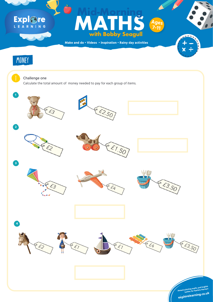**Make and do • Videos • Inspiration • Rainy day activities**

# Explore

# **Formulation Strategy Ages**<br>
With Bobby Seagull<br>
and do · Videos · Inspiration · Rainy day activities **with Bobby Seagull Mid-Morning Ages 7-11**





#### Challenge one

Calculate the total amount of money needed to pay for each group of items.